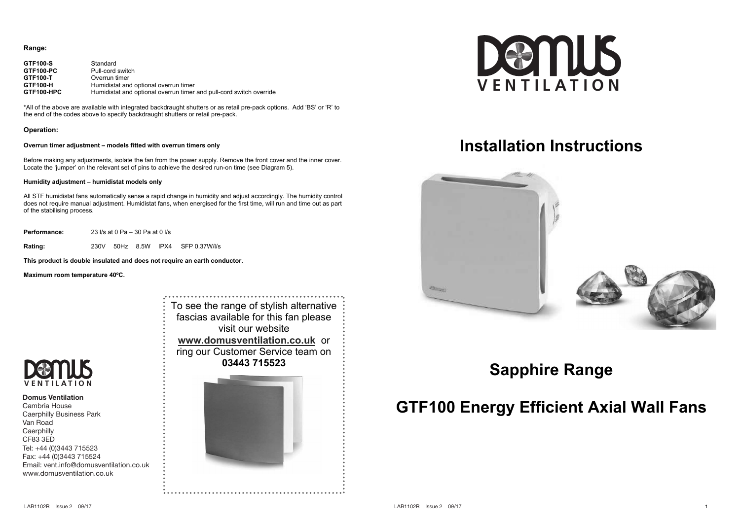### **Range:**

| GTF100-S   | Standard                                                            |
|------------|---------------------------------------------------------------------|
| GTF100-PC  | Pull-cord switch                                                    |
| GTF100-T   | Overrun timer                                                       |
| GTF100-H   | Humidistat and optional overrun timer                               |
| GTF100-HPC | Humidistat and optional overrun timer and pull-cord switch override |

\*All of the above are available with integrated backdraught shutters or as retail pre-pack options. Add 'BS' or 'R' to the end of the codes above to specify backdraught shutters or retail pre-pack.

### **Operation:**

### **Overrun timer adjustment – models fitted with overrun timers only**

Before making any adjustments, isolate the fan from the power supply. Remove the front cover and the inner cover. Locate the 'jumper' on the relevant set of pins to achieve the desired run-on time (see Diagram 5).

### **Humidity adjustment – humidistat models only**

All STF humidistat fans automatically sense a rapid change in humidity and adjust accordingly. The humidity control does not require manual adjustment. Humidistat fans, when energised for the first time, will run and time out as part of the stabilising process.

**Performance:** 23 l/s at 0 Pa – 30 Pa at 0 l/s

**Rating:** 230V 50Hz 8.5W IPX4 SFP 0.37W/l/s

**This product is double insulated and does not require an earth conductor.** 

**Maximum room temperature 40ºC.** 



#### **Domus Ventilation**

Cambria House Caerphilly Business Park Van Road **Caerphilly** CF83 3ED Tel: +44 (0)3443 715523 Fax: +44 (0)3443 715524 Email: vent.info@domusventilation.co.uk www.domusventilation.co.uk

To see the range of stylish alternative fascias available for this fan please visit our website **www.domusventilation.co.uk** or ring our Customer Service team on **03443 715523**





# **Installation Instructions**



## **Sapphire Range**

# **GTF100 Energy Efficient Axial Wall Fans**

4